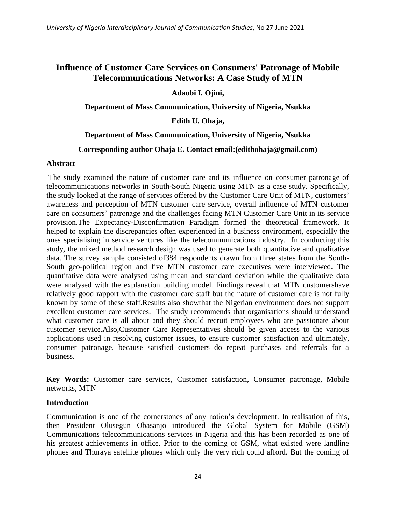## **Influence of Customer Care Services on Consumers' Patronage of Mobile Telecommunications Networks: A Case Study of MTN**

**Adaobi I. Ojini,**

**Department of Mass Communication, University of Nigeria, Nsukka**

**Edith U. Ohaja,**

## **Department of Mass Communication, University of Nigeria, Nsukka**

## **Corresponding author Ohaja E. Contact email:(edithohaja@gmail.com)**

#### **Abstract**

The study examined the nature of customer care and its influence on consumer patronage of telecommunications networks in South-South Nigeria using MTN as a case study. Specifically, the study looked at the range of services offered by the Customer Care Unit of MTN, customers' awareness and perception of MTN customer care service, overall influence of MTN customer care on consumers' patronage and the challenges facing MTN Customer Care Unit in its service provision.The Expectancy-Disconfirmation Paradigm formed the theoretical framework. It helped to explain the discrepancies often experienced in a business environment, especially the ones specialising in service ventures like the telecommunications industry. In conducting this study, the mixed method research design was used to generate both quantitative and qualitative data. The survey sample consisted of384 respondents drawn from three states from the South-South geo-political region and five MTN customer care executives were interviewed. The quantitative data were analysed using mean and standard deviation while the qualitative data were analysed with the explanation building model. Findings reveal that MTN customershave relatively good rapport with the customer care staff but the nature of customer care is not fully known by some of these staff.Results also showthat the Nigerian environment does not support excellent customer care services. The study recommends that organisations should understand what customer care is all about and they should recruit employees who are passionate about customer service.Also,Customer Care Representatives should be given access to the various applications used in resolving customer issues, to ensure customer satisfaction and ultimately, consumer patronage, because satisfied customers do repeat purchases and referrals for a business.

**Key Words:** Customer care services, Customer satisfaction, Consumer patronage, Mobile networks, MTN

#### **Introduction**

Communication is one of the cornerstones of any nation's development. In realisation of this, then President Olusegun Obasanjo introduced the Global System for Mobile (GSM) Communications telecommunications services in Nigeria and this has been recorded as one of his greatest achievements in office. Prior to the coming of GSM, what existed were landline phones and Thuraya satellite phones which only the very rich could afford. But the coming of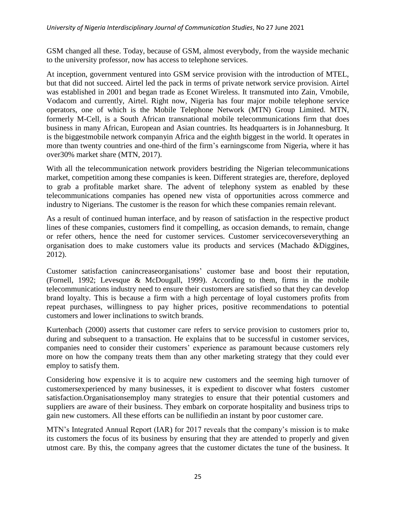GSM changed all these. Today, because of GSM, almost everybody, from the wayside mechanic to the university professor, now has access to telephone services.

At inception, government ventured into GSM service provision with the introduction of MTEL, but that did not succeed. Airtel led the pack in terms of private network service provision. Airtel was established in 2001 and began trade as Econet Wireless. It transmuted into Zain, Vmobile, Vodacom and currently, Airtel. Right now, Nigeria has four major mobile telephone service operators, one of which is the Mobile Telephone Network (MTN) Group Limited. MTN, formerly M-Cell, is a South African transnational mobile telecommunications firm that does business in many African, European and Asian countries. Its headquarters is in Johannesburg. It is the biggestmobile network companyin Africa and the eighth biggest in the world. It operates in more than twenty countries and one-third of the firm's earningscome from Nigeria, where it has over30% market share (MTN, 2017).

With all the telecommunication network providers bestriding the Nigerian telecommunications market, competition among these companies is keen. Different strategies are, therefore, deployed to grab a profitable market share. The advent of telephony system as enabled by these telecommunications companies has opened new vista of opportunities across commerce and industry to Nigerians. The customer is the reason for which these companies remain relevant.

As a result of continued human interface, and by reason of satisfaction in the respective product lines of these companies, customers find it compelling, as occasion demands, to remain, change or refer others, hence the need for customer services. Customer servicecoverseverything an organisation does to make customers value its products and services (Machado &Diggines, 2012).

Customer satisfaction canincreaseorganisations' customer base and boost their reputation, (Fornell, 1992; Levesque & McDougall, 1999). According to them, firms in the mobile telecommunications industry need to ensure their customers are satisfied so that they can develop brand loyalty. This is because a firm with a high percentage of loyal customers profits from repeat purchases, willingness to pay higher prices, positive recommendations to potential customers and lower inclinations to switch brands.

Kurtenbach (2000) asserts that customer care refers to service provision to customers prior to, during and subsequent to a transaction. He explains that to be successful in customer services, companies need to consider their customers' experience as paramount because customers rely more on how the company treats them than any other marketing strategy that they could ever employ to satisfy them.

Considering how expensive it is to acquire new customers and the seeming high turnover of customersexperienced by many businesses, it is expedient to discover what fosters customer satisfaction.Organisationsemploy many strategies to ensure that their potential customers and suppliers are aware of their business. They embark on corporate hospitality and business trips to gain new customers. All these efforts can be nullifiedin an instant by poor customer care.

MTN's Integrated Annual Report (IAR) for 2017 reveals that the company's mission is to make its customers the focus of its business by ensuring that they are attended to properly and given utmost care. By this, the company agrees that the customer dictates the tune of the business. It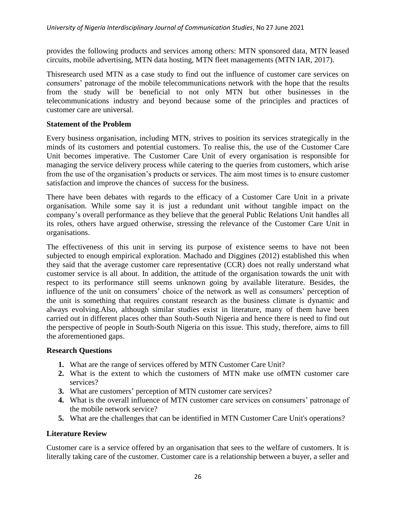provides the following products and services among others: MTN sponsored data, MTN leased circuits, mobile advertising, MTN data hosting, MTN fleet managements (MTN IAR, 2017).

Thisresearch used MTN as a case study to find out the influence of customer care services on consumers' patronage of the mobile telecommunications network with the hope that the results from the study will be beneficial to not only MTN but other businesses in the telecommunications industry and beyond because some of the principles and practices of customer care are universal.

## **Statement of the Problem**

Every business organisation, including MTN, strives to position its services strategically in the minds of its customers and potential customers. To realise this, the use of the Customer Care Unit becomes imperative. The Customer Care Unit of every organisation is responsible for managing the service delivery process while catering to the queries from customers, which arise from the use of the organisation's products or services. The aim most times is to ensure customer satisfaction and improve the chances of success for the business.

There have been debates with regards to the efficacy of a Customer Care Unit in a private organisation. While some say it is just a redundant unit without tangible impact on the company's overall performance as they believe that the general Public Relations Unit handles all its roles, others have argued otherwise, stressing the relevance of the Customer Care Unit in organisations.

The effectiveness of this unit in serving its purpose of existence seems to have not been subjected to enough empirical exploration. Machado and Diggines (2012) established this when they said that the average customer care representative (CCR) does not really understand what customer service is all about. In addition, the attitude of the organisation towards the unit with respect to its performance still seems unknown going by available literature. Besides, the influence of the unit on consumers' choice of the network as well as consumers' perception of the unit is something that requires constant research as the business climate is dynamic and always evolving.Also, although similar studies exist in literature, many of them have been carried out in different places other than South-South Nigeria and hence there is need to find out the perspective of people in South-South Nigeria on this issue. This study, therefore, aims to fill the aforementioned gaps.

#### **Research Questions**

- **1.** What are the range of services offered by MTN Customer Care Unit?
- **2.** What is the extent to which the customers of MTN make use ofMTN customer care services?
- **3.** What are customers' perception of MTN customer care services?
- **4.** What is the overall influence of MTN customer care services on consumers' patronage of the mobile network service?
- **5.** What are the challenges that can be identified in MTN Customer Care Unit's operations?

#### **Literature Review**

Customer care is a service offered by an organisation that sees to the welfare of customers. It is literally taking care of the customer. Customer care is a relationship between a buyer, a seller and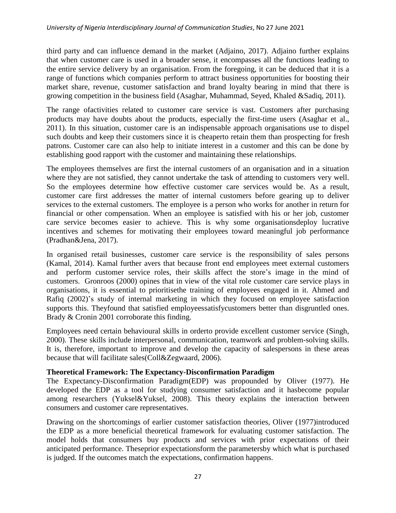third party and can influence demand in the market (Adjaino, 2017). Adjaino further explains that when customer care is used in a broader sense, it encompasses all the functions leading to the entire service delivery by an organisation. From the foregoing, it can be deduced that it is a range of functions which companies perform to attract business opportunities for boosting their market share, revenue, customer satisfaction and brand loyalty bearing in mind that there is growing competition in the business field (Asaghar, Muhammad, Seyed, Khaled &Sadiq, 2011).

The range ofactivities related to customer care service is vast. Customers after purchasing products may have doubts about the products, especially the first-time users (Asaghar et al., 2011). In this situation, customer care is an indispensable approach organisations use to dispel such doubts and keep their customers since it is cheaperto retain them than prospecting for fresh patrons. Customer care can also help to initiate interest in a customer and this can be done by establishing good rapport with the customer and maintaining these relationships.

The employees themselves are first the internal customers of an organisation and in a situation where they are not satisfied, they cannot undertake the task of attending to customers very well. So the employees determine how effective customer care services would be. As a result, customer care first addresses the matter of internal customers before gearing up to deliver services to the external customers. The employee is a person who works for another in return for financial or other compensation. When an employee is satisfied with his or her job, customer care service becomes easier to achieve. This is why some organisationsdeploy lucrative incentives and schemes for motivating their employees toward meaningful job performance (Pradhan&Jena, 2017).

In organised retail businesses, customer care service is the responsibility of sales persons (Kamal, 2014). Kamal further avers that because front end employees meet external customers and perform customer service roles, their skills affect the store's image in the mind of customers. Gronroos (2000) opines that in view of the vital role customer care service plays in organisations, it is essential to prioritisethe training of employees engaged in it. Ahmed and Rafiq (2002)'s study of internal marketing in which they focused on employee satisfaction supports this. Theyfound that satisfied employeessatisfycustomers better than disgruntled ones. Brady & Cronin 2001 corroborate this finding.

Employees need certain behavioural skills in orderto provide excellent customer service (Singh, 2000). These skills include interpersonal, communication, teamwork and problem-solving skills. It is, therefore, important to improve and develop the capacity of salespersons in these areas because that will facilitate sales(Coll&Zegwaard, 2006).

## **Theoretical Framework: The Expectancy-Disconfirmation Paradigm**

The Expectancy-Disconfirmation Paradigm(EDP) was propounded by Oliver (1977). He developed the EDP as a tool for studying consumer satisfaction and it hasbecome popular among researchers (Yuksel&Yuksel, 2008). This theory explains the interaction between consumers and customer care representatives.

Drawing on the shortcomings of earlier customer satisfaction theories, Oliver (1977)introduced the EDP as a more beneficial theoretical framework for evaluating customer satisfaction. The model holds that consumers buy products and services with prior expectations of their anticipated performance. Theseprior expectationsform the parametersby which what is purchased is judged. If the outcomes match the expectations, confirmation happens.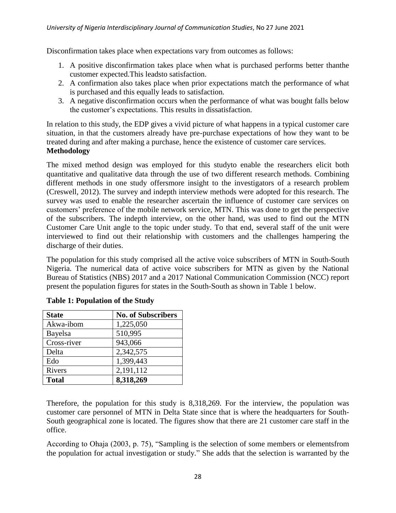Disconfirmation takes place when expectations vary from outcomes as follows:

- 1. A positive disconfirmation takes place when what is purchased performs better thanthe customer expected.This leadsto satisfaction.
- 2. A confirmation also takes place when prior expectations match the performance of what is purchased and this equally leads to satisfaction.
- 3. A negative disconfirmation occurs when the performance of what was bought falls below the customer's expectations. This results in dissatisfaction.

In relation to this study, the EDP gives a vivid picture of what happens in a typical customer care situation, in that the customers already have pre-purchase expectations of how they want to be treated during and after making a purchase, hence the existence of customer care services. **Methodology** 

The mixed method design was employed for this studyto enable the researchers elicit both quantitative and qualitative data through the use of two different research methods. Combining different methods in one study offersmore insight to the investigators of a research problem (Creswell, 2012). The survey and indepth interview methods were adopted for this research. The survey was used to enable the researcher ascertain the influence of customer care services on customers' preference of the mobile network service, MTN. This was done to get the perspective of the subscribers. The indepth interview, on the other hand, was used to find out the MTN Customer Care Unit angle to the topic under study. To that end, several staff of the unit were interviewed to find out their relationship with customers and the challenges hampering the discharge of their duties.

The population for this study comprised all the active voice subscribers of MTN in South-South Nigeria. The numerical data of active voice subscribers for MTN as given by the National Bureau of Statistics (NBS) 2017 and a 2017 National Communication Commission (NCC) report present the population figures for states in the South-South as shown in Table 1 below.

| <b>State</b> | <b>No. of Subscribers</b> |
|--------------|---------------------------|
| Akwa-ibom    | 1,225,050                 |
| Bayelsa      | 510,995                   |
| Cross-river  | 943,066                   |
| Delta        | 2,342,575                 |
| Edo          | 1,399,443                 |
| Rivers       | 2,191,112                 |
| <b>Total</b> | 8,318,269                 |

Therefore, the population for this study is 8,318,269. For the interview, the population was customer care personnel of MTN in Delta State since that is where the headquarters for South-South geographical zone is located. The figures show that there are 21 customer care staff in the office.

According to Ohaja (2003, p. 75), "Sampling is the selection of some members or elementsfrom the population for actual investigation or study." She adds that the selection is warranted by the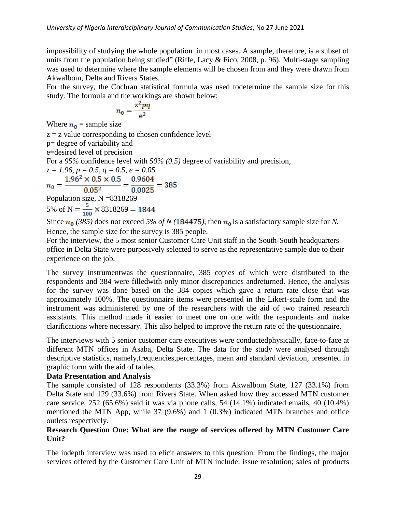impossibility of studying the whole population in most cases. A sample, therefore, is a subset of units from the population being studied" (Riffe, Lacy & Fico, 2008, p. 96). Multi-stage sampling was used to determine where the sample elements will be chosen from and they were drawn from AkwaIbom, Delta and Rivers States.

For the survey, the Cochran statistical formula was used todetermine the sample size for this study. The formula and the workings are shown below:

$$
n_0 = \frac{z^2 pq}{e^2}
$$

Where  $n_0$  = sample size

 $z = z$  value corresponding to chosen confidence level p= degree of variability and e=desired level of precision For a *95%* confidence level with *50% (0.5)* degree of variability and precision, *z* = 1.96,  $p = 0.5$ ,  $q = 0.5$ ,  $e = 0.05$ <br>  $n_0 = \frac{1.96^2 \times 0.5 \times 0.5}{0.05^2} = \frac{0.9604}{0.0025} = 385$ Population size, N =8318269 5% of N =  $\frac{5}{100}$  × 8318269 = 1844

Since  $n_0$  (385) does not exceed 5% of N (184475), then  $n_0$  is a satisfactory sample size for N. Hence, the sample size for the survey is 385 people.

For the interview, the 5 most senior Customer Care Unit staff in the South-South headquarters office in Delta State were purposively selected to serve as the representative sample due to their experience on the job.

The survey instrumentwas the questionnaire, 385 copies of which were distributed to the respondents and 384 were filledwith only minor discrepancies andreturned. Hence, the analysis for the survey was done based on the 384 copies which gave a return rate close that was approximately 100%. The questionnaire items were presented in the Likert-scale form and the instrument was administered by one of the researchers with the aid of two trained research assistants. This method made it easier to meet one on one with the respondents and make clarifications where necessary. This also helped to improve the return rate of the questionnaire.

The interviews with 5 senior customer care executives were conductedphysically, face-to-face at different MTN offices in Asaba, Delta State. The data for the study were analysed through descriptive statistics, namely,frequencies,percentages, mean and standard deviation, presented in graphic form with the aid of tables.

## **Data Presentation and Analysis**

The sample consisted of 128 respondents (33.3%) from AkwaIbom State, 127 (33.1%) from Delta State and 129 (33.6%) from Rivers State. When asked how they accessed MTN customer care service, 252 (65.6%) said it was via phone calls, 54 (14.1%) indicated emails, 40 (10.4%) mentioned the MTN App, while 37 (9.6%) and 1 (0.3%) indicated MTN branches and office outlets respectively.

## **Research Question One: What are the range of services offered by MTN Customer Care Unit?**

The indepth interview was used to elicit answers to this question. From the findings, the major services offered by the Customer Care Unit of MTN include: issue resolution; sales of products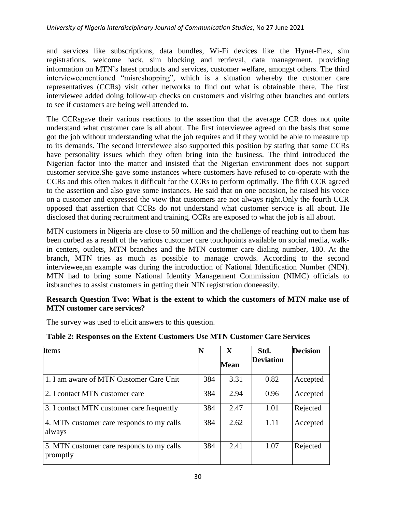and services like subscriptions, data bundles, Wi-Fi devices like the Hynet-Flex, sim registrations, welcome back, sim blocking and retrieval, data management, providing information on MTN's latest products and services, customer welfare, amongst others. The third intervieweementioned "misreshopping", which is a situation whereby the customer care representatives (CCRs) visit other networks to find out what is obtainable there. The first interviewee added doing follow-up checks on customers and visiting other branches and outlets to see if customers are being well attended to.

The CCRsgave their various reactions to the assertion that the average CCR does not quite understand what customer care is all about. The first interviewee agreed on the basis that some got the job without understanding what the job requires and if they would be able to measure up to its demands. The second interviewee also supported this position by stating that some CCRs have personality issues which they often bring into the business. The third introduced the Nigerian factor into the matter and insisted that the Nigerian environment does not support customer service.She gave some instances where customers have refused to co-operate with the CCRs and this often makes it difficult for the CCRs to perform optimally. The fifth CCR agreed to the assertion and also gave some instances. He said that on one occasion, he raised his voice on a customer and expressed the view that customers are not always right.Only the fourth CCR opposed that assertion that CCRs do not understand what customer service is all about. He disclosed that during recruitment and training, CCRs are exposed to what the job is all about.

MTN customers in Nigeria are close to 50 million and the challenge of reaching out to them has been curbed as a result of the various customer care touchpoints available on social media, walkin centers, outlets, MTN branches and the MTN customer care dialing number, 180. At the branch, MTN tries as much as possible to manage crowds. According to the second interviewee,an example was during the introduction of National Identification Number (NIN). MTN had to bring some National Identity Management Commission (NIMC) officials to itsbranches to assist customers in getting their NIN registration doneeasily.

## **Research Question Two: What is the extent to which the customers of MTN make use of MTN customer care services?**

The survey was used to elicit answers to this question.

| Items                                                 | N   | $\mathbf X$<br>Mean | Std.<br><b>Deviation</b> | <b>Decision</b> |
|-------------------------------------------------------|-----|---------------------|--------------------------|-----------------|
| 1. I am aware of MTN Customer Care Unit               | 384 | 3.31                | 0.82                     | Accepted        |
| 2. I contact MTN customer care                        | 384 | 2.94                | 0.96                     | Accepted        |
| 3. I contact MTN customer care frequently             | 384 | 2.47                | 1.01                     | Rejected        |
| 4. MTN customer care responds to my calls<br>always   | 384 | 2.62                | 1.11                     | Accepted        |
| 5. MTN customer care responds to my calls<br>promptly | 384 | 2.41                | 1.07                     | Rejected        |

## **Table 2: Responses on the Extent Customers Use MTN Customer Care Services**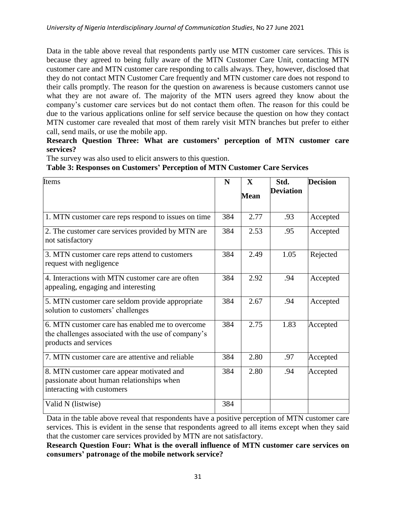Data in the table above reveal that respondents partly use MTN customer care services. This is because they agreed to being fully aware of the MTN Customer Care Unit, contacting MTN customer care and MTN customer care responding to calls always. They, however, disclosed that they do not contact MTN Customer Care frequently and MTN customer care does not respond to their calls promptly. The reason for the question on awareness is because customers cannot use what they are not aware of. The majority of the MTN users agreed they know about the company's customer care services but do not contact them often. The reason for this could be due to the various applications online for self service because the question on how they contact MTN customer care revealed that most of them rarely visit MTN branches but prefer to either call, send mails, or use the mobile app.

## **Research Question Three: What are customers' perception of MTN customer care services?**

The survey was also used to elicit answers to this question.

# **Table 3: Responses on Customers' Perception of MTN Customer Care Services**

| Items                                                                                                                           | N   | $\mathbf X$<br><b>Mean</b> | Std.<br><b>Deviation</b> | <b>Decision</b> |
|---------------------------------------------------------------------------------------------------------------------------------|-----|----------------------------|--------------------------|-----------------|
| 1. MTN customer care reps respond to issues on time                                                                             | 384 | 2.77                       | .93                      | Accepted        |
| 2. The customer care services provided by MTN are<br>not satisfactory                                                           | 384 | 2.53                       | .95                      | Accepted        |
| 3. MTN customer care reps attend to customers<br>request with negligence                                                        | 384 | 2.49                       | 1.05                     | Rejected        |
| 4. Interactions with MTN customer care are often<br>appealing, engaging and interesting                                         | 384 | 2.92                       | .94                      | Accepted        |
| 5. MTN customer care seldom provide appropriate<br>solution to customers' challenges                                            | 384 | 2.67                       | .94                      | Accepted        |
| 6. MTN customer care has enabled me to overcome<br>the challenges associated with the use of company's<br>products and services | 384 | 2.75                       | 1.83                     | Accepted        |
| 7. MTN customer care are attentive and reliable                                                                                 | 384 | 2.80                       | .97                      | Accepted        |
| 8. MTN customer care appear motivated and<br>passionate about human relationships when<br>interacting with customers            | 384 | 2.80                       | .94                      | Accepted        |
| Valid N (listwise)                                                                                                              | 384 |                            |                          |                 |

Data in the table above reveal that respondents have a positive perception of MTN customer care services. This is evident in the sense that respondents agreed to all items except when they said that the customer care services provided by MTN are not satisfactory.

**Research Question Four: What is the overall influence of MTN customer care services on consumers' patronage of the mobile network service?**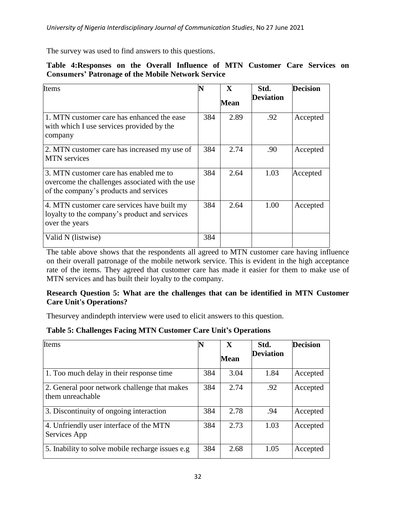The survey was used to find answers to this questions.

## **Table 4:Responses on the Overall Influence of MTN Customer Care Services on Consumers' Patronage of the Mobile Network Service**

| Items                                                                                                                               |     | X           | Std.<br><b>Deviation</b> | <b>Decision</b> |
|-------------------------------------------------------------------------------------------------------------------------------------|-----|-------------|--------------------------|-----------------|
|                                                                                                                                     |     | <b>Mean</b> |                          |                 |
| 1. MTN customer care has enhanced the ease<br>with which I use services provided by the<br>company                                  | 384 | 2.89        | .92                      | Accepted        |
| 2. MTN customer care has increased my use of<br><b>MTN</b> services                                                                 | 384 | 2.74        | .90                      | Accepted        |
| 3. MTN customer care has enabled me to<br>overcome the challenges associated with the use<br>of the company's products and services | 384 | 2.64        | 1.03                     | Accepted        |
| 4. MTN customer care services have built my<br>loyalty to the company's product and services<br>over the years                      | 384 | 2.64        | 1.00                     | Accepted        |
| Valid N (listwise)                                                                                                                  | 384 |             |                          |                 |

The table above shows that the respondents all agreed to MTN customer care having influence on their overall patronage of the mobile network service. This is evident in the high acceptance rate of the items. They agreed that customer care has made it easier for them to make use of MTN services and has built their loyalty to the company.

## **Research Question 5: What are the challenges that can be identified in MTN Customer Care Unit's Operations?**

Thesurvey andindepth interview were used to elicit answers to this question.

## **Table 5: Challenges Facing MTN Customer Care Unit's Operations**

| Items                                                            |     | X<br><b>Mean</b> | Std.<br><b>Deviation</b> | <b>Decision</b> |
|------------------------------------------------------------------|-----|------------------|--------------------------|-----------------|
| 1. Too much delay in their response time                         | 384 | 3.04             | 1.84                     | Accepted        |
| 2. General poor network challenge that makes<br>them unreachable | 384 | 2.74             | .92                      | Accepted        |
| 3. Discontinuity of ongoing interaction                          | 384 | 2.78             | .94                      | Accepted        |
| 4. Unfriendly user interface of the MTN<br>Services App          | 384 | 2.73             | 1.03                     | Accepted        |
| 5. Inability to solve mobile recharge issues e.g.                | 384 | 2.68             | 1.05                     | Accepted        |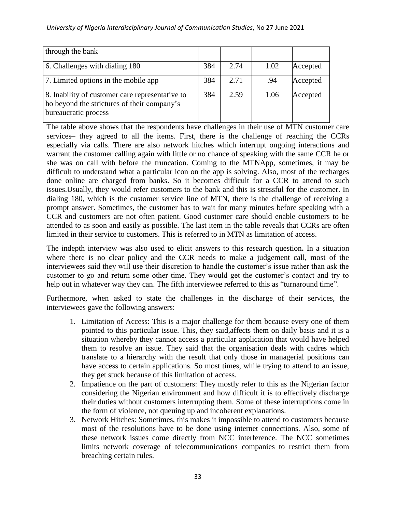| through the bank                                                                                                       |     |      |      |          |
|------------------------------------------------------------------------------------------------------------------------|-----|------|------|----------|
| 6. Challenges with dialing 180                                                                                         | 384 | 2.74 | 1.02 | Accepted |
| 7. Limited options in the mobile app                                                                                   | 384 | 2.71 | .94  | Accepted |
| 8. Inability of customer care representative to<br>ho beyond the strictures of their company's<br>bureaucratic process | 384 | 2.59 | 1.06 | Accepted |

The table above shows that the respondents have challenges in their use of MTN customer care services– they agreed to all the items. First, there is the challenge of reaching the CCRs especially via calls. There are also network hitches which interrupt ongoing interactions and warrant the customer calling again with little or no chance of speaking with the same CCR he or she was on call with before the truncation. Coming to the MTNApp, sometimes, it may be difficult to understand what a particular icon on the app is solving. Also, most of the recharges done online are charged from banks. So it becomes difficult for a CCR to attend to such issues.Usually, they would refer customers to the bank and this is stressful for the customer. In dialing 180, which is the customer service line of MTN, there is the challenge of receiving a prompt answer. Sometimes, the customer has to wait for many minutes before speaking with a CCR and customers are not often patient. Good customer care should enable customers to be attended to as soon and easily as possible. The last item in the table reveals that CCRs are often limited in their service to customers. This is referred to in MTN as limitation of access.

The indepth interview was also used to elicit answers to this research question**.** In a situation where there is no clear policy and the CCR needs to make a judgement call, most of the interviewees said they will use their discretion to handle the customer's issue rather than ask the customer to go and return some other time. They would get the customer's contact and try to help out in whatever way they can. The fifth interviewee referred to this as "turnaround time".

Furthermore, when asked to state the challenges in the discharge of their services, the interviewees gave the following answers:

- 1. Limitation of Access: This is a major challenge for them because every one of them pointed to this particular issue. This, they said,affects them on daily basis and it is a situation whereby they cannot access a particular application that would have helped them to resolve an issue. They said that the organisation deals with cadres which translate to a hierarchy with the result that only those in managerial positions can have access to certain applications. So most times, while trying to attend to an issue, they get stuck because of this limitation of access.
- 2. Impatience on the part of customers: They mostly refer to this as the Nigerian factor considering the Nigerian environment and how difficult it is to effectively discharge their duties without customers interrupting them. Some of these interruptions come in the form of violence, not queuing up and incoherent explanations.
- 3. Network Hitches: Sometimes, this makes it impossible to attend to customers because most of the resolutions have to be done using internet connections. Also, some of these network issues come directly from NCC interference. The NCC sometimes limits network coverage of telecommunications companies to restrict them from breaching certain rules.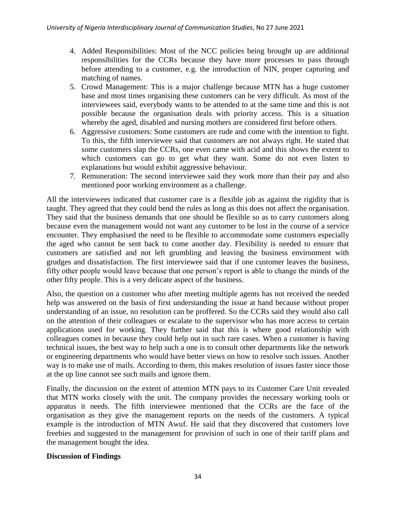- 4. Added Responsibilities: Most of the NCC policies being brought up are additional responsibilities for the CCRs because they have more processes to pass through before attending to a customer, e.g. the introduction of NIN, proper capturing and matching of names.
- 5. Crowd Management: This is a major challenge because MTN has a huge customer base and most times organising these customers can be very difficult. As most of the interviewees said, everybody wants to be attended to at the same time and this is not possible because the organisation deals with priority access. This is a situation whereby the aged, disabled and nursing mothers are considered first before others.
- 6. Aggressive customers: Some customers are rude and come with the intention to fight. To this, the fifth interviewee said that customers are not always right. He stated that some customers slap the CCRs, one even came with acid and this shows the extent to which customers can go to get what they want. Some do not even listen to explanations but would exhibit aggressive behaviour.
- 7. Remuneration: The second interviewee said they work more than their pay and also mentioned poor working environment as a challenge.

All the interviewees indicated that customer care is a flexible job as against the rigidity that is taught. They agreed that they could bend the rules as long as this does not affect the organisation. They said that the business demands that one should be flexible so as to carry customers along because even the management would not want any customer to be lost in the course of a service encounter. They emphasised the need to be flexible to accommodate some customers especially the aged who cannot be sent back to come another day. Flexibility is needed to ensure that customers are satisfied and not left grumbling and leaving the business environment with grudges and dissatisfaction. The first interviewee said that if one customer leaves the business, fifty other people would leave because that one person's report is able to change the minds of the other fifty people. This is a very delicate aspect of the business.

Also, the question on a customer who after meeting multiple agents has not received the needed help was answered on the basis of first understanding the issue at hand because without proper understanding of an issue, no resolution can be proffered. So the CCRs said they would also call on the attention of their colleagues or escalate to the supervisor who has more access to certain applications used for working. They further said that this is where good relationship with colleagues comes in because they could help out in such rare cases. When a customer is having technical issues, the best way to help such a one is to consult other departments like the network or engineering departments who would have better views on how to resolve such issues. Another way is to make use of mails. According to them, this makes resolution of issues faster since those at the up line cannot see such mails and ignore them.

Finally, the discussion on the extent of attention MTN pays to its Customer Care Unit revealed that MTN works closely with the unit. The company provides the necessary working tools or apparatus it needs. The fifth interviewee mentioned that the CCRs are the face of the organisation as they give the management reports on the needs of the customers. A typical example is the introduction of MTN Awuf. He said that they discovered that customers love freebies and suggested to the management for provision of such in one of their tariff plans and the management bought the idea.

## **Discussion of Findings**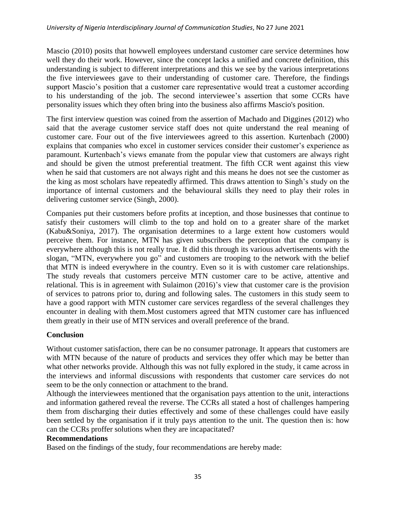Mascio (2010) posits that howwell employees understand customer care service determines how well they do their work. However, since the concept lacks a unified and concrete definition, this understanding is subject to different interpretations and this we see by the various interpretations the five interviewees gave to their understanding of customer care. Therefore, the findings support Mascio's position that a customer care representative would treat a customer according to his understanding of the job. The second interviewee's assertion that some CCRs have personality issues which they often bring into the business also affirms Mascio's position.

The first interview question was coined from the assertion of Machado and Diggines (2012) who said that the average customer service staff does not quite understand the real meaning of customer care. Four out of the five interviewees agreed to this assertion. Kurtenbach (2000) explains that companies who excel in customer services consider their customer's experience as paramount. Kurtenbach's views emanate from the popular view that customers are always right and should be given the utmost preferential treatment. The fifth CCR went against this view when he said that customers are not always right and this means he does not see the customer as the king as most scholars have repeatedly affirmed. This draws attention to Singh's study on the importance of internal customers and the behavioural skills they need to play their roles in delivering customer service (Singh, 2000).

Companies put their customers before profits at inception, and those businesses that continue to satisfy their customers will climb to the top and hold on to a greater share of the market (Kabu&Soniya, 2017). The organisation determines to a large extent how customers would perceive them. For instance, MTN has given subscribers the perception that the company is everywhere although this is not really true. It did this through its various advertisements with the slogan, "MTN, everywhere you go" and customers are trooping to the network with the belief that MTN is indeed everywhere in the country. Even so it is with customer care relationships. The study reveals that customers perceive MTN customer care to be active, attentive and relational. This is in agreement with Sulaimon (2016)'s view that customer care is the provision of services to patrons prior to, during and following sales. The customers in this study seem to have a good rapport with MTN customer care services regardless of the several challenges they encounter in dealing with them.Most customers agreed that MTN customer care has influenced them greatly in their use of MTN services and overall preference of the brand.

## **Conclusion**

Without customer satisfaction, there can be no consumer patronage. It appears that customers are with MTN because of the nature of products and services they offer which may be better than what other networks provide. Although this was not fully explored in the study, it came across in the interviews and informal discussions with respondents that customer care services do not seem to be the only connection or attachment to the brand.

Although the interviewees mentioned that the organisation pays attention to the unit, interactions and information gathered reveal the reverse. The CCRs all stated a host of challenges hampering them from discharging their duties effectively and some of these challenges could have easily been settled by the organisation if it truly pays attention to the unit. The question then is: how can the CCRs proffer solutions when they are incapacitated?

#### **Recommendations**

Based on the findings of the study, four recommendations are hereby made: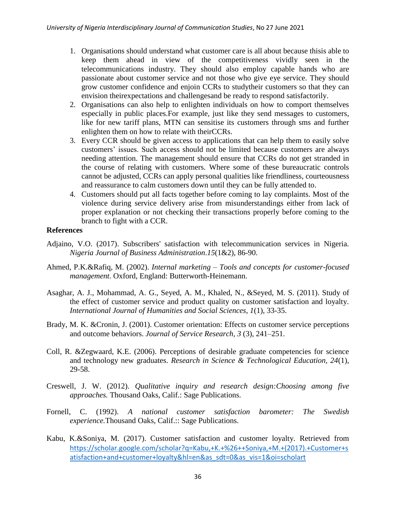- 1. Organisations should understand what customer care is all about because thisis able to keep them ahead in view of the competitiveness vividly seen in the telecommunications industry. They should also employ capable hands who are passionate about customer service and not those who give eye service. They should grow customer confidence and enjoin CCRs to studytheir customers so that they can envision theirexpectations and challengesand be ready to respond satisfactorily.
- 2. Organisations can also help to enlighten individuals on how to comport themselves especially in public places.For example, just like they send messages to customers, like for new tariff plans, MTN can sensitise its customers through sms and further enlighten them on how to relate with theirCCRs.
- 3. Every CCR should be given access to applications that can help them to easily solve customers' issues. Such access should not be limited because customers are always needing attention. The management should ensure that CCRs do not get stranded in the course of relating with customers. Where some of these bureaucratic controls cannot be adjusted, CCRs can apply personal qualities like friendliness, courteousness and reassurance to calm customers down until they can be fully attended to.
- 4. Customers should put all facts together before coming to lay complaints. Most of the violence during service delivery arise from misunderstandings either from lack of proper explanation or not checking their transactions properly before coming to the branch to fight with a CCR.

#### **References**

- Adjaino, V.O. (2017). Subscribers' satisfaction with telecommunication services in Nigeria. *Nigeria Journal of Business Administration*.*15*(1&2), 86-90.
- Ahmed, P.K.&Rafiq, M. (2002). *Internal marketing – Tools and concepts for customer-focused management*. Oxford, England: Butterworth-Heinemann.
- Asaghar, A. J., Mohammad, A. G., Seyed, A. M., Khaled, N., &Seyed, M. S. (2011). Study of the effect of customer service and product quality on customer satisfaction and loyalty. *International Journal of Humanities and Social Sciences*, *1*(1), 33-35.
- Brady, M. K. &Cronin, J. (2001). Customer orientation: Effects on customer service perceptions and outcome behaviors. *Journal of Service Research, 3* (3), 241–251.
- Coll, R. &Zegwaard, K.E. (2006). Perceptions of desirable graduate competencies for science and technology new graduates. *Research in Science & Technological Education, 24*(1), 29-58.
- Creswell, J. W. (2012). *Qualitative inquiry and research design:Choosing among five approaches.* Thousand Oaks, Calif.: Sage Publications.
- Fornell, C. (1992). *A national customer satisfaction barometer: The Swedish experience.*Thousand Oaks, Calif.:: Sage Publications.
- Kabu, K.&Soniya, M. (2017). Customer satisfaction and customer loyalty. Retrieved from [https://scholar.google.com/scholar?q=Kabu,+K.+%26++Soniya,+M.+\(2017\).+Customer+s](https://scholar.google.com/scholar?q=Kabu,+K.+%26++Soniya,+M.+(2017).+Customer+satisfaction+and+customer+loyalty&hl=en&as_sdt=0&as_vis=1&oi=scholart) [atisfaction+and+customer+loyalty&hl=en&as\\_sdt=0&as\\_vis=1&oi=scholart](https://scholar.google.com/scholar?q=Kabu,+K.+%26++Soniya,+M.+(2017).+Customer+satisfaction+and+customer+loyalty&hl=en&as_sdt=0&as_vis=1&oi=scholart)